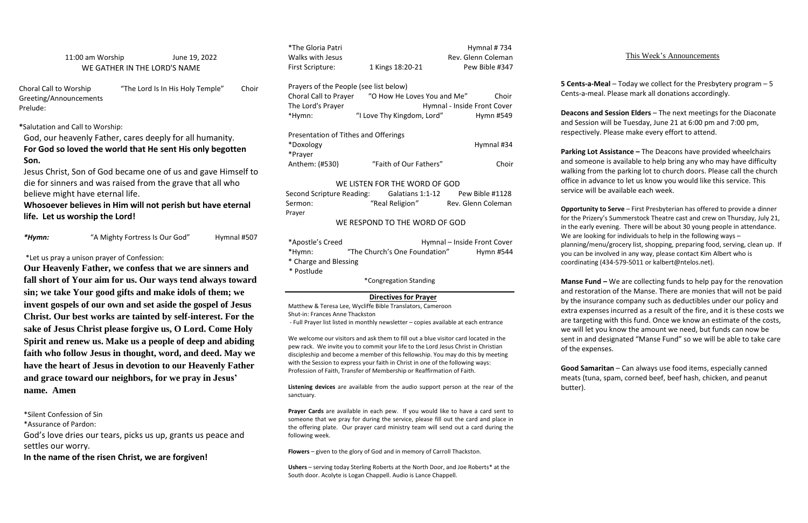11:00 am Worship June 19, 2022 WE GATHER IN THE LORD'S NAME

Choral Call to Worship "The Lord Is In His Holy Temple" Choir Greeting/Announcements Prelude:

**\***Salutation and Call to Worship:

God, our heavenly Father, cares deeply for all humanity. **For God so loved the world that He sent His only begotten Son.** 

Jesus Christ, Son of God became one of us and gave Himself to die for sinners and was raised from the grave that all who believe might have eternal life.

# **Whosoever believes in Him will not perish but have eternal life. Let us worship the Lord!**

*\*Hymn:* "A Mighty Fortress Is Our God" Hymnal #507

\*Let us pray a unison prayer of Confession:

Choral Call to Prayer "O How He Loves You and Me" Choir The Lord's Prayer **Hymnal** - Inside Front Cover \*Hymn: "I Love Thy Kingdom, Lord" Hymn #549

**Our Heavenly Father, we confess that we are sinners and fall short of Your aim for us. Our ways tend always toward sin; we take Your good gifts and make idols of them; we invent gospels of our own and set aside the gospel of Jesus Christ. Our best works are tainted by self-interest. For the sake of Jesus Christ please forgive us, O Lord. Come Holy Spirit and renew us. Make us a people of deep and abiding faith who follow Jesus in thought, word, and deed. May we have the heart of Jesus in devotion to our Heavenly Father and grace toward our neighbors, for we pray in Jesus' name. Amen**

| Second Scripture Reading:     | Galatians 1:1-12              | Pew Bible #1128             |  |  |
|-------------------------------|-------------------------------|-----------------------------|--|--|
| Sermon:                       | "Real Religion"               | Rev. Glenn Coleman          |  |  |
| Prayer                        |                               |                             |  |  |
| WE RESPOND TO THE WORD OF GOD |                               |                             |  |  |
| *Apostle's Creed              |                               | Hymnal - Inside Front Cover |  |  |
| *Hymn:                        | "The Church's One Foundation" | Hymn #544                   |  |  |
| * Charge and Blessing         |                               |                             |  |  |
| * Postlude                    |                               |                             |  |  |
|                               | *Congregation Standing        |                             |  |  |

\*Silent Confession of Sin

\*Assurance of Pardon:

God's love dries our tears, picks us up, grants us peace and settles our worry.

**In the name of the risen Christ, we are forgiven!**

\*The Gloria Patri **Hymnal # 734** Walks with Jesus **Rev. Glenn Coleman** First Scripture: 1 Kings 18:20-21 Pew Bible #347

### Prayers of the People (see list below)

| Presentation of Tithes and Offerings |                        |            |
|--------------------------------------|------------------------|------------|
| *Doxology                            |                        | Hymnal #34 |
| *Prayer                              |                        |            |
| Anthem: (#530)                       | "Faith of Our Fathers" | Choir      |

### WE LISTEN FOR THE WORD OF GOD

## **Directives for Prayer**

Matthew & Teresa Lee, Wycliffe Bible Translators, Cameroon Shut-in: Frances Anne Thackston - Full Prayer list listed in monthly newsletter – copies available at each entrance **Manse Fund –** We are collecting funds to help pay for the renovation and restoration of the Manse. There are monies that will not be paid by the insurance company such as deductibles under our policy and extra expenses incurred as a result of the fire, and it is these costs we are targeting with this fund. Once we know an estimate of the costs, we will let you know the amount we need, but funds can now be sent in and designated "Manse Fund" so we will be able to take care of the expenses.

We welcome our visitors and ask them to fill out a blue visitor card located in the pew rack. We invite you to commit your life to the Lord Jesus Christ in Christian discipleship and become a member of this fellowship. You may do this by meeting with the Session to express your faith in Christ in one of the following ways: Profession of Faith, Transfer of Membership or Reaffirmation of Faith.

**Listening devices** are available from the audio support person at the rear of the sanctuary.

**Prayer Cards** are available in each pew. If you would like to have a card sent to someone that we pray for during the service, please fill out the card and place in the offering plate. Our prayer card ministry team will send out a card during the following week.

**Flowers** – given to the glory of God and in memory of Carroll Thackston.

**Ushers** – serving today Sterling Roberts at the North Door, and Joe Roberts\* at the South door. Acolyte is Logan Chappell. Audio is Lance Chappell.

# This Week's Announcements

**5 Cents-a-Meal** – Today we collect for the Presbytery program – 5 Cents-a-meal. Please mark all donations accordingly.

**Deacons and Session Elders** – The next meetings for the Diaconate and Session will be Tuesday, June 21 at 6:00 pm and 7:00 pm, respectively. Please make every effort to attend.

**Parking Lot Assistance –** The Deacons have provided wheelchairs and someone is available to help bring any who may have difficulty walking from the parking lot to church doors. Please call the church office in advance to let us know you would like this service. This service will be available each week.

**Opportunity to Serve** – First Presbyterian has offered to provide a dinner for the Prizery's Summerstock Theatre cast and crew on Thursday, July 21, in the early evening. There will be about 30 young people in attendance. We are looking for individuals to help in the following ways – planning/menu/grocery list, shopping, preparing food, serving, clean up. If you can be involved in any way, please contact Kim Albert who is coordinating (434-579-5011 or kalbert@ntelos.net).

**Good Samaritan** – Can always use food items, especially canned meats (tuna, spam, corned beef, beef hash, chicken, and peanut

butter).